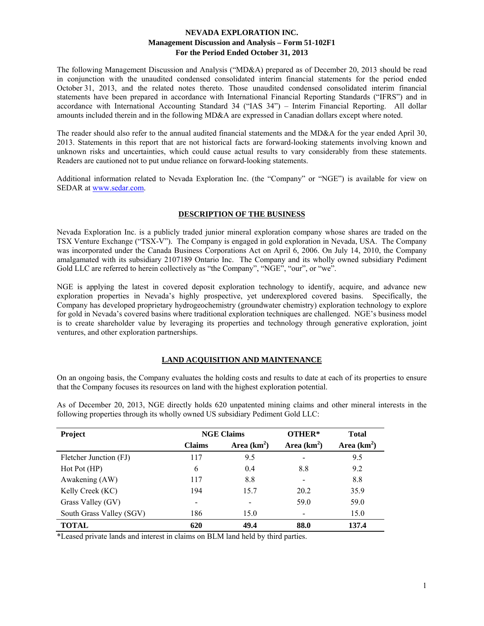The following Management Discussion and Analysis ("MD&A) prepared as of December 20, 2013 should be read in conjunction with the unaudited condensed consolidated interim financial statements for the period ended October 31, 2013, and the related notes thereto. Those unaudited condensed consolidated interim financial statements have been prepared in accordance with International Financial Reporting Standards ("IFRS") and in accordance with International Accounting Standard 34 ("IAS 34") – Interim Financial Reporting. All dollar amounts included therein and in the following MD&A are expressed in Canadian dollars except where noted.

The reader should also refer to the annual audited financial statements and the MD&A for the year ended April 30, 2013. Statements in this report that are not historical facts are forward-looking statements involving known and unknown risks and uncertainties, which could cause actual results to vary considerably from these statements. Readers are cautioned not to put undue reliance on forward-looking statements.

Additional information related to Nevada Exploration Inc. (the "Company" or "NGE") is available for view on SEDAR at www.sedar.com.

#### **DESCRIPTION OF THE BUSINESS**

Nevada Exploration Inc. is a publicly traded junior mineral exploration company whose shares are traded on the TSX Venture Exchange ("TSX-V"). The Company is engaged in gold exploration in Nevada, USA. The Company was incorporated under the Canada Business Corporations Act on April 6, 2006. On July 14, 2010, the Company amalgamated with its subsidiary 2107189 Ontario Inc. The Company and its wholly owned subsidiary Pediment Gold LLC are referred to herein collectively as "the Company", "NGE", "our", or "we".

NGE is applying the latest in covered deposit exploration technology to identify, acquire, and advance new exploration properties in Nevada's highly prospective, yet underexplored covered basins. Specifically, the Company has developed proprietary hydrogeochemistry (groundwater chemistry) exploration technology to explore for gold in Nevada's covered basins where traditional exploration techniques are challenged. NGE's business model is to create shareholder value by leveraging its properties and technology through generative exploration, joint ventures, and other exploration partnerships.

## **LAND ACQUISITION AND MAINTENANCE**

On an ongoing basis, the Company evaluates the holding costs and results to date at each of its properties to ensure that the Company focuses its resources on land with the highest exploration potential.

| Project                  | <b>NGE Claims</b> |               | OTHER*       | <b>Total</b>  |  |
|--------------------------|-------------------|---------------|--------------|---------------|--|
|                          | <b>Claims</b>     | Area $(km^2)$ | Area $(km2)$ | Area $(km^2)$ |  |
| Fletcher Junction (FJ)   | 117               | 9.5           |              | 9.5           |  |
| Hot Pot (HP)             | 6                 | 0.4           | 8.8          | 9.2           |  |
| Awakening (AW)           | 117               | 8.8           |              | 8.8           |  |
| Kelly Creek (KC)         | 194               | 15.7          | 20.2         | 35.9          |  |
| Grass Valley (GV)        |                   |               | 59.0         | 59.0          |  |
| South Grass Valley (SGV) | 186               | 15.0          |              | 15.0          |  |
| TOTAL                    | 620               | 49.4          | 88.0         | 137.4         |  |

As of December 20, 2013, NGE directly holds 620 unpatented mining claims and other mineral interests in the following properties through its wholly owned US subsidiary Pediment Gold LLC:

\*Leased private lands and interest in claims on BLM land held by third parties.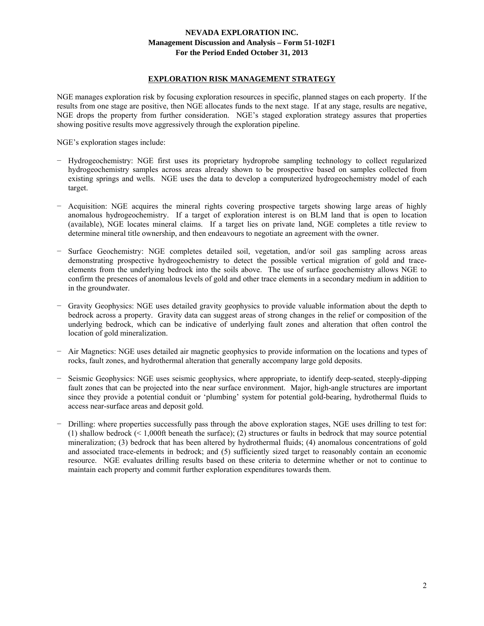#### **EXPLORATION RISK MANAGEMENT STRATEGY**

NGE manages exploration risk by focusing exploration resources in specific, planned stages on each property. If the results from one stage are positive, then NGE allocates funds to the next stage. If at any stage, results are negative, NGE drops the property from further consideration. NGE's staged exploration strategy assures that properties showing positive results move aggressively through the exploration pipeline.

NGE's exploration stages include:

- − Hydrogeochemistry: NGE first uses its proprietary hydroprobe sampling technology to collect regularized hydrogeochemistry samples across areas already shown to be prospective based on samples collected from existing springs and wells. NGE uses the data to develop a computerized hydrogeochemistry model of each target.
- − Acquisition: NGE acquires the mineral rights covering prospective targets showing large areas of highly anomalous hydrogeochemistry. If a target of exploration interest is on BLM land that is open to location (available), NGE locates mineral claims. If a target lies on private land, NGE completes a title review to determine mineral title ownership, and then endeavours to negotiate an agreement with the owner.
- − Surface Geochemistry: NGE completes detailed soil, vegetation, and/or soil gas sampling across areas demonstrating prospective hydrogeochemistry to detect the possible vertical migration of gold and traceelements from the underlying bedrock into the soils above. The use of surface geochemistry allows NGE to confirm the presences of anomalous levels of gold and other trace elements in a secondary medium in addition to in the groundwater.
- − Gravity Geophysics: NGE uses detailed gravity geophysics to provide valuable information about the depth to bedrock across a property. Gravity data can suggest areas of strong changes in the relief or composition of the underlying bedrock, which can be indicative of underlying fault zones and alteration that often control the location of gold mineralization.
- − Air Magnetics: NGE uses detailed air magnetic geophysics to provide information on the locations and types of rocks, fault zones, and hydrothermal alteration that generally accompany large gold deposits.
- − Seismic Geophysics: NGE uses seismic geophysics, where appropriate, to identify deep-seated, steeply-dipping fault zones that can be projected into the near surface environment. Major, high-angle structures are important since they provide a potential conduit or 'plumbing' system for potential gold-bearing, hydrothermal fluids to access near-surface areas and deposit gold.
- − Drilling: where properties successfully pass through the above exploration stages, NGE uses drilling to test for: (1) shallow bedrock (< 1,000ft beneath the surface); (2) structures or faults in bedrock that may source potential mineralization; (3) bedrock that has been altered by hydrothermal fluids; (4) anomalous concentrations of gold and associated trace-elements in bedrock; and (5) sufficiently sized target to reasonably contain an economic resource. NGE evaluates drilling results based on these criteria to determine whether or not to continue to maintain each property and commit further exploration expenditures towards them.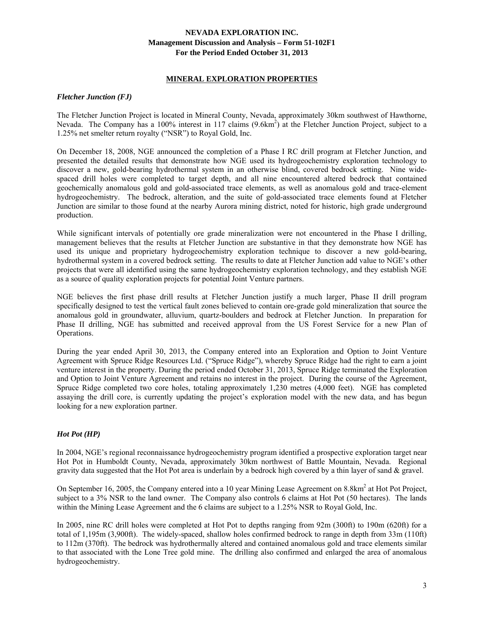#### **MINERAL EXPLORATION PROPERTIES**

#### *Fletcher Junction (FJ)*

The Fletcher Junction Project is located in Mineral County, Nevada, approximately 30km southwest of Hawthorne, Nevada. The Company has a 100% interest in 117 claims (9.6km<sup>2</sup>) at the Fletcher Junction Project, subject to a 1.25% net smelter return royalty ("NSR") to Royal Gold, Inc.

On December 18, 2008, NGE announced the completion of a Phase I RC drill program at Fletcher Junction, and presented the detailed results that demonstrate how NGE used its hydrogeochemistry exploration technology to discover a new, gold-bearing hydrothermal system in an otherwise blind, covered bedrock setting. Nine widespaced drill holes were completed to target depth, and all nine encountered altered bedrock that contained geochemically anomalous gold and gold-associated trace elements, as well as anomalous gold and trace-element hydrogeochemistry. The bedrock, alteration, and the suite of gold-associated trace elements found at Fletcher Junction are similar to those found at the nearby Aurora mining district, noted for historic, high grade underground production.

While significant intervals of potentially ore grade mineralization were not encountered in the Phase I drilling, management believes that the results at Fletcher Junction are substantive in that they demonstrate how NGE has used its unique and proprietary hydrogeochemistry exploration technique to discover a new gold-bearing, hydrothermal system in a covered bedrock setting. The results to date at Fletcher Junction add value to NGE's other projects that were all identified using the same hydrogeochemistry exploration technology, and they establish NGE as a source of quality exploration projects for potential Joint Venture partners.

NGE believes the first phase drill results at Fletcher Junction justify a much larger, Phase II drill program specifically designed to test the vertical fault zones believed to contain ore-grade gold mineralization that source the anomalous gold in groundwater, alluvium, quartz-boulders and bedrock at Fletcher Junction. In preparation for Phase II drilling, NGE has submitted and received approval from the US Forest Service for a new Plan of Operations.

During the year ended April 30, 2013, the Company entered into an Exploration and Option to Joint Venture Agreement with Spruce Ridge Resources Ltd. ("Spruce Ridge"), whereby Spruce Ridge had the right to earn a joint venture interest in the property. During the period ended October 31, 2013, Spruce Ridge terminated the Exploration and Option to Joint Venture Agreement and retains no interest in the project. During the course of the Agreement, Spruce Ridge completed two core holes, totaling approximately 1,230 metres (4,000 feet). NGE has completed assaying the drill core, is currently updating the project's exploration model with the new data, and has begun looking for a new exploration partner.

## *Hot Pot (HP)*

In 2004, NGE's regional reconnaissance hydrogeochemistry program identified a prospective exploration target near Hot Pot in Humboldt County, Nevada, approximately 30km northwest of Battle Mountain, Nevada. Regional gravity data suggested that the Hot Pot area is underlain by a bedrock high covered by a thin layer of sand  $\&$  gravel.

On September 16, 2005, the Company entered into a 10 year Mining Lease Agreement on 8.8km<sup>2</sup> at Hot Pot Project, subject to a 3% NSR to the land owner. The Company also controls 6 claims at Hot Pot (50 hectares). The lands within the Mining Lease Agreement and the 6 claims are subject to a 1.25% NSR to Royal Gold, Inc.

In 2005, nine RC drill holes were completed at Hot Pot to depths ranging from 92m (300ft) to 190m (620ft) for a total of 1,195m (3,900ft). The widely-spaced, shallow holes confirmed bedrock to range in depth from 33m (110ft) to 112m (370ft). The bedrock was hydrothermally altered and contained anomalous gold and trace elements similar to that associated with the Lone Tree gold mine. The drilling also confirmed and enlarged the area of anomalous hydrogeochemistry.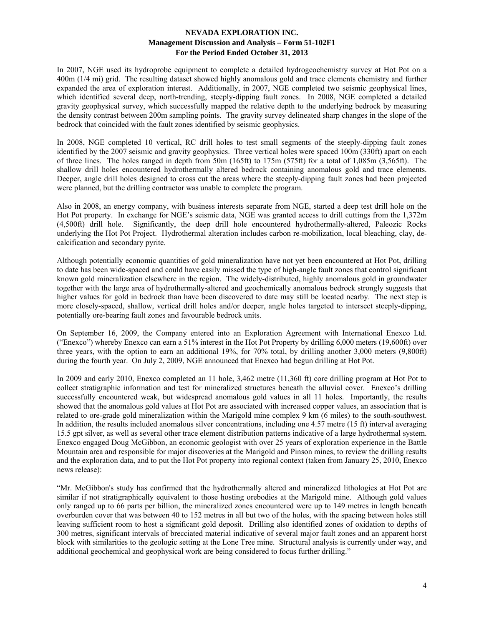In 2007, NGE used its hydroprobe equipment to complete a detailed hydrogeochemistry survey at Hot Pot on a 400m (1/4 mi) grid. The resulting dataset showed highly anomalous gold and trace elements chemistry and further expanded the area of exploration interest. Additionally, in 2007, NGE completed two seismic geophysical lines, which identified several deep, north-trending, steeply-dipping fault zones. In 2008, NGE completed a detailed gravity geophysical survey, which successfully mapped the relative depth to the underlying bedrock by measuring the density contrast between 200m sampling points. The gravity survey delineated sharp changes in the slope of the bedrock that coincided with the fault zones identified by seismic geophysics.

In 2008, NGE completed 10 vertical, RC drill holes to test small segments of the steeply-dipping fault zones identified by the 2007 seismic and gravity geophysics. Three vertical holes were spaced 100m (330ft) apart on each of three lines. The holes ranged in depth from 50m (165ft) to 175m (575ft) for a total of 1,085m (3,565ft). The shallow drill holes encountered hydrothermally altered bedrock containing anomalous gold and trace elements. Deeper, angle drill holes designed to cross cut the areas where the steeply-dipping fault zones had been projected were planned, but the drilling contractor was unable to complete the program.

Also in 2008, an energy company, with business interests separate from NGE, started a deep test drill hole on the Hot Pot property. In exchange for NGE's seismic data, NGE was granted access to drill cuttings from the 1,372m (4,500ft) drill hole. Significantly, the deep drill hole encountered hydrothermally-altered, Paleozic Rocks underlying the Hot Pot Project. Hydrothermal alteration includes carbon re-mobilization, local bleaching, clay, decalcification and secondary pyrite.

Although potentially economic quantities of gold mineralization have not yet been encountered at Hot Pot, drilling to date has been wide-spaced and could have easily missed the type of high-angle fault zones that control significant known gold mineralization elsewhere in the region. The widely-distributed, highly anomalous gold in groundwater together with the large area of hydrothermally-altered and geochemically anomalous bedrock strongly suggests that higher values for gold in bedrock than have been discovered to date may still be located nearby. The next step is more closely-spaced, shallow, vertical drill holes and/or deeper, angle holes targeted to intersect steeply-dipping, potentially ore-bearing fault zones and favourable bedrock units.

On September 16, 2009, the Company entered into an Exploration Agreement with International Enexco Ltd. ("Enexco") whereby Enexco can earn a 51% interest in the Hot Pot Property by drilling 6,000 meters (19,600ft) over three years, with the option to earn an additional 19%, for 70% total, by drilling another 3,000 meters (9,800ft) during the fourth year. On July 2, 2009, NGE announced that Enexco had begun drilling at Hot Pot.

In 2009 and early 2010, Enexco completed an 11 hole, 3,462 metre (11,360 ft) core drilling program at Hot Pot to collect stratigraphic information and test for mineralized structures beneath the alluvial cover. Enexco's drilling successfully encountered weak, but widespread anomalous gold values in all 11 holes. Importantly, the results showed that the anomalous gold values at Hot Pot are associated with increased copper values, an association that is related to ore-grade gold mineralization within the Marigold mine complex 9 km (6 miles) to the south-southwest. In addition, the results included anomalous silver concentrations, including one 4.57 metre (15 ft) interval averaging 15.5 gpt silver, as well as several other trace element distribution patterns indicative of a large hydrothermal system. Enexco engaged Doug McGibbon, an economic geologist with over 25 years of exploration experience in the Battle Mountain area and responsible for major discoveries at the Marigold and Pinson mines, to review the drilling results and the exploration data, and to put the Hot Pot property into regional context (taken from January 25, 2010, Enexco news release):

"Mr. McGibbon's study has confirmed that the hydrothermally altered and mineralized lithologies at Hot Pot are similar if not stratigraphically equivalent to those hosting orebodies at the Marigold mine. Although gold values only ranged up to 66 parts per billion, the mineralized zones encountered were up to 149 metres in length beneath overburden cover that was between 40 to 152 metres in all but two of the holes, with the spacing between holes still leaving sufficient room to host a significant gold deposit. Drilling also identified zones of oxidation to depths of 300 metres, significant intervals of brecciated material indicative of several major fault zones and an apparent horst block with similarities to the geologic setting at the Lone Tree mine. Structural analysis is currently under way, and additional geochemical and geophysical work are being considered to focus further drilling."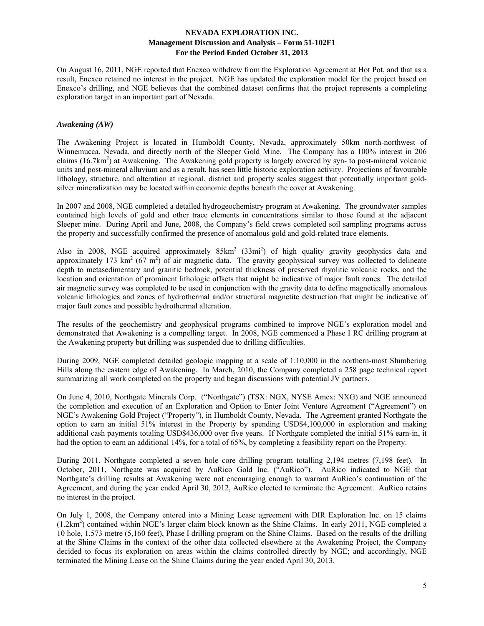On August 16, 2011, NGE reported that Enexco withdrew from the Exploration Agreement at Hot Pot, and that as a result, Enexco retained no interest in the project. NGE has updated the exploration model for the project based on Enexco's drilling, and NGE believes that the combined dataset confirms that the project represents a completing exploration target in an important part of Nevada.

#### *Awakening (AW)*

The Awakening Project is located in Humboldt County, Nevada, approximately 50km north-northwest of Winnemucca, Nevada, and directly north of the Sleeper Gold Mine. The Company has a 100% interest in 206 claims (16.7km<sup>2</sup>) at Awakening. The Awakening gold property is largely covered by syn- to post-mineral volcanic units and post-mineral alluvium and as a result, has seen little historic exploration activity. Projections of favourable lithology, structure, and alteration at regional, district and property scales suggest that potentially important goldsilver mineralization may be located within economic depths beneath the cover at Awakening.

In 2007 and 2008, NGE completed a detailed hydrogeochemistry program at Awakening. The groundwater samples contained high levels of gold and other trace elements in concentrations similar to those found at the adjacent Sleeper mine. During April and June, 2008, the Company's field crews completed soil sampling programs across the property and successfully confirmed the presence of anomalous gold and gold-related trace elements.

Also in 2008, NGE acquired approximately  $85 \text{km}^2$  ( $33 \text{mi}^2$ ) of high quality gravity geophysics data and approximately 173 km<sup>2</sup> (67 m<sup>2</sup>) of air magnetic data. The gravity geophysical survey was collected to delineate depth to metasedimentary and granitic bedrock, potential thickness of preserved rhyolitic volcanic rocks, and the location and orientation of prominent lithologic offsets that might be indicative of major fault zones. The detailed air magnetic survey was completed to be used in conjunction with the gravity data to define magnetically anomalous volcanic lithologies and zones of hydrothermal and/or structural magnetite destruction that might be indicative of major fault zones and possible hydrothermal alteration.

The results of the geochemistry and geophysical programs combined to improve NGE's exploration model and demonstrated that Awakening is a compelling target. In 2008, NGE commenced a Phase I RC drilling program at the Awakening property but drilling was suspended due to drilling difficulties.

During 2009, NGE completed detailed geologic mapping at a scale of 1:10,000 in the northern-most Slumbering Hills along the eastern edge of Awakening. In March, 2010, the Company completed a 258 page technical report summarizing all work completed on the property and began discussions with potential JV partners.

On June 4, 2010, Northgate Minerals Corp. ("Northgate") (TSX: NGX, NYSE Amex: NXG) and NGE announced the completion and execution of an Exploration and Option to Enter Joint Venture Agreement ("Agreement") on NGE's Awakening Gold Project ("Property"), in Humboldt County, Nevada. The Agreement granted Northgate the option to earn an initial 51% interest in the Property by spending USD\$4,100,000 in exploration and making additional cash payments totaling USD\$436,000 over five years. If Northgate completed the initial 51% earn-in, it had the option to earn an additional 14%, for a total of 65%, by completing a feasibility report on the Property.

During 2011, Northgate completed a seven hole core drilling program totalling 2,194 metres (7,198 feet). In October, 2011, Northgate was acquired by AuRico Gold Inc. ("AuRico"). AuRico indicated to NGE that Northgate's drilling results at Awakening were not encouraging enough to warrant AuRico's continuation of the Agreement, and during the year ended April 30, 2012, AuRico elected to terminate the Agreement. AuRico retains no interest in the project.

On July 1, 2008, the Company entered into a Mining Lease agreement with DIR Exploration Inc. on 15 claims (1.2km<sup>2</sup>) contained within NGE's larger claim block known as the Shine Claims. In early 2011, NGE completed a 10 hole, 1,573 metre (5,160 feet), Phase I drilling program on the Shine Claims. Based on the results of the drilling at the Shine Claims in the context of the other data collected elsewhere at the Awakening Project, the Company decided to focus its exploration on areas within the claims controlled directly by NGE; and accordingly, NGE terminated the Mining Lease on the Shine Claims during the year ended April 30, 2013.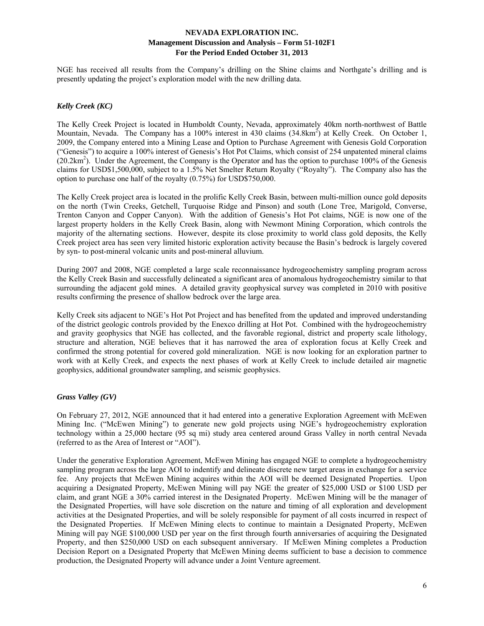NGE has received all results from the Company's drilling on the Shine claims and Northgate's drilling and is presently updating the project's exploration model with the new drilling data.

## *Kelly Creek (KC)*

The Kelly Creek Project is located in Humboldt County, Nevada, approximately 40km north-northwest of Battle Mountain, Nevada. The Company has a 100% interest in 430 claims (34.8km<sup>2</sup>) at Kelly Creek. On October 1, 2009, the Company entered into a Mining Lease and Option to Purchase Agreement with Genesis Gold Corporation ("Genesis") to acquire a 100% interest of Genesis's Hot Pot Claims, which consist of 254 unpatented mineral claims  $(20.2 \text{km}^2)$ . Under the Agreement, the Company is the Operator and has the option to purchase 100% of the Genesis claims for USD\$1,500,000, subject to a 1.5% Net Smelter Return Royalty ("Royalty"). The Company also has the option to purchase one half of the royalty (0.75%) for USD\$750,000.

The Kelly Creek project area is located in the prolific Kelly Creek Basin, between multi-million ounce gold deposits on the north (Twin Creeks, Getchell, Turquoise Ridge and Pinson) and south (Lone Tree, Marigold, Converse, Trenton Canyon and Copper Canyon). With the addition of Genesis's Hot Pot claims, NGE is now one of the largest property holders in the Kelly Creek Basin, along with Newmont Mining Corporation, which controls the majority of the alternating sections. However, despite its close proximity to world class gold deposits, the Kelly Creek project area has seen very limited historic exploration activity because the Basin's bedrock is largely covered by syn- to post-mineral volcanic units and post-mineral alluvium.

During 2007 and 2008, NGE completed a large scale reconnaissance hydrogeochemistry sampling program across the Kelly Creek Basin and successfully delineated a significant area of anomalous hydrogeochemistry similar to that surrounding the adjacent gold mines. A detailed gravity geophysical survey was completed in 2010 with positive results confirming the presence of shallow bedrock over the large area.

Kelly Creek sits adjacent to NGE's Hot Pot Project and has benefited from the updated and improved understanding of the district geologic controls provided by the Enexco drilling at Hot Pot. Combined with the hydrogeochemistry and gravity geophysics that NGE has collected, and the favorable regional, district and property scale lithology, structure and alteration, NGE believes that it has narrowed the area of exploration focus at Kelly Creek and confirmed the strong potential for covered gold mineralization. NGE is now looking for an exploration partner to work with at Kelly Creek, and expects the next phases of work at Kelly Creek to include detailed air magnetic geophysics, additional groundwater sampling, and seismic geophysics.

## *Grass Valley (GV)*

On February 27, 2012, NGE announced that it had entered into a generative Exploration Agreement with McEwen Mining Inc. ("McEwen Mining") to generate new gold projects using NGE's hydrogeochemistry exploration technology within a 25,000 hectare (95 sq mi) study area centered around Grass Valley in north central Nevada (referred to as the Area of Interest or "AOI").

Under the generative Exploration Agreement, McEwen Mining has engaged NGE to complete a hydrogeochemistry sampling program across the large AOI to indentify and delineate discrete new target areas in exchange for a service fee. Any projects that McEwen Mining acquires within the AOI will be deemed Designated Properties. Upon acquiring a Designated Property, McEwen Mining will pay NGE the greater of \$25,000 USD or \$100 USD per claim, and grant NGE a 30% carried interest in the Designated Property. McEwen Mining will be the manager of the Designated Properties, will have sole discretion on the nature and timing of all exploration and development activities at the Designated Properties, and will be solely responsible for payment of all costs incurred in respect of the Designated Properties. If McEwen Mining elects to continue to maintain a Designated Property, McEwen Mining will pay NGE \$100,000 USD per year on the first through fourth anniversaries of acquiring the Designated Property, and then \$250,000 USD on each subsequent anniversary. If McEwen Mining completes a Production Decision Report on a Designated Property that McEwen Mining deems sufficient to base a decision to commence production, the Designated Property will advance under a Joint Venture agreement.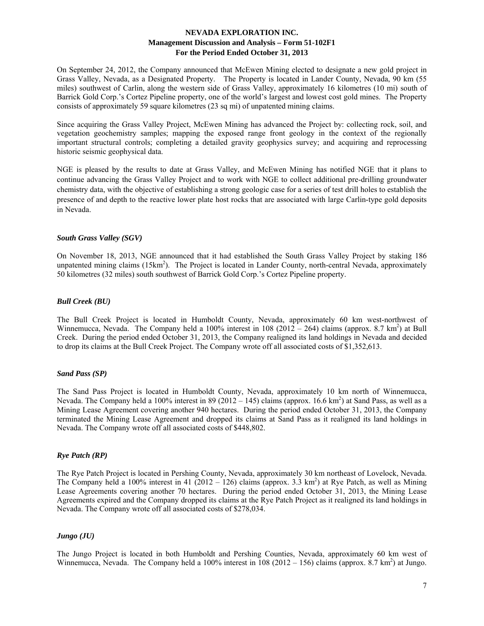On September 24, 2012, the Company announced that McEwen Mining elected to designate a new gold project in Grass Valley, Nevada, as a Designated Property. The Property is located in Lander County, Nevada, 90 km (55 miles) southwest of Carlin, along the western side of Grass Valley, approximately 16 kilometres (10 mi) south of Barrick Gold Corp.'s Cortez Pipeline property, one of the world's largest and lowest cost gold mines. The Property consists of approximately 59 square kilometres (23 sq mi) of unpatented mining claims.

Since acquiring the Grass Valley Project, McEwen Mining has advanced the Project by: collecting rock, soil, and vegetation geochemistry samples; mapping the exposed range front geology in the context of the regionally important structural controls; completing a detailed gravity geophysics survey; and acquiring and reprocessing historic seismic geophysical data.

NGE is pleased by the results to date at Grass Valley, and McEwen Mining has notified NGE that it plans to continue advancing the Grass Valley Project and to work with NGE to collect additional pre-drilling groundwater chemistry data, with the objective of establishing a strong geologic case for a series of test drill holes to establish the presence of and depth to the reactive lower plate host rocks that are associated with large Carlin-type gold deposits in Nevada.

## *South Grass Valley (SGV)*

On November 18, 2013, NGE announced that it had established the South Grass Valley Project by staking 186 unpatented mining claims (15km<sup>2</sup>). The Project is located in Lander County, north-central Nevada, approximately 50 kilometres (32 miles) south southwest of Barrick Gold Corp.'s Cortez Pipeline property.

#### *Bull Creek (BU)*

The Bull Creek Project is located in Humboldt County, Nevada, approximately 60 km west-northwest of Winnemucca, Nevada. The Company held a 100% interest in 108 (2012 – 264) claims (approx. 8.7 km<sup>2</sup>) at Bull Creek. During the period ended October 31, 2013, the Company realigned its land holdings in Nevada and decided to drop its claims at the Bull Creek Project. The Company wrote off all associated costs of \$1,352,613.

## *Sand Pass (SP)*

The Sand Pass Project is located in Humboldt County, Nevada, approximately 10 km north of Winnemucca, Nevada. The Company held a 100% interest in 89 (2012 – 145) claims (approx. 16.6 km<sup>2</sup>) at Sand Pass, as well as a Mining Lease Agreement covering another 940 hectares. During the period ended October 31, 2013, the Company terminated the Mining Lease Agreement and dropped its claims at Sand Pass as it realigned its land holdings in Nevada. The Company wrote off all associated costs of \$448,802.

## *Rye Patch (RP)*

The Rye Patch Project is located in Pershing County, Nevada, approximately 30 km northeast of Lovelock, Nevada. The Company held a 100% interest in 41 (2012 – 126) claims (approx. 3.3 km<sup>2</sup>) at Rye Patch, as well as Mining Lease Agreements covering another 70 hectares. During the period ended October 31, 2013, the Mining Lease Agreements expired and the Company dropped its claims at the Rye Patch Project as it realigned its land holdings in Nevada. The Company wrote off all associated costs of \$278,034.

## *Jungo (JU)*

The Jungo Project is located in both Humboldt and Pershing Counties, Nevada, approximately 60 km west of Winnemucca, Nevada. The Company held a 100% interest in  $108(2012 - 156)$  claims (approx. 8.7 km<sup>2</sup>) at Jungo.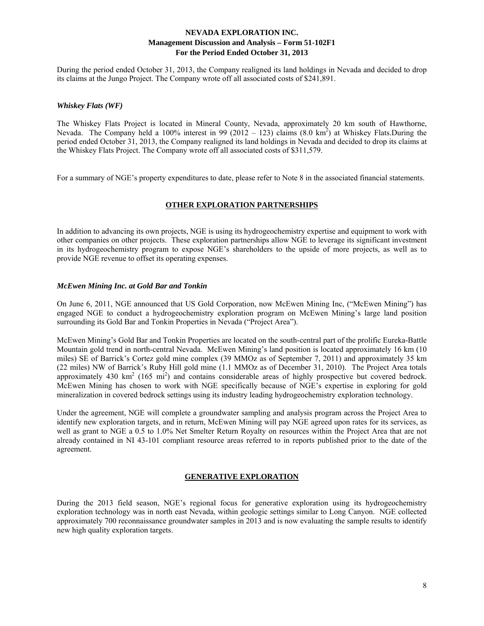During the period ended October 31, 2013, the Company realigned its land holdings in Nevada and decided to drop its claims at the Jungo Project. The Company wrote off all associated costs of \$241,891.

#### *Whiskey Flats (WF)*

The Whiskey Flats Project is located in Mineral County, Nevada, approximately 20 km south of Hawthorne, Nevada. The Company held a 100% interest in 99 (2012 – 123) claims  $(8.0 \text{ km}^2)$  at Whiskey Flats.During the period ended October 31, 2013, the Company realigned its land holdings in Nevada and decided to drop its claims at the Whiskey Flats Project. The Company wrote off all associated costs of \$311,579.

For a summary of NGE's property expenditures to date, please refer to Note 8 in the associated financial statements.

## **OTHER EXPLORATION PARTNERSHIPS**

In addition to advancing its own projects, NGE is using its hydrogeochemistry expertise and equipment to work with other companies on other projects. These exploration partnerships allow NGE to leverage its significant investment in its hydrogeochemistry program to expose NGE's shareholders to the upside of more projects, as well as to provide NGE revenue to offset its operating expenses.

#### *McEwen Mining Inc. at Gold Bar and Tonkin*

On June 6, 2011, NGE announced that US Gold Corporation, now McEwen Mining Inc, ("McEwen Mining") has engaged NGE to conduct a hydrogeochemistry exploration program on McEwen Mining's large land position surrounding its Gold Bar and Tonkin Properties in Nevada ("Project Area").

McEwen Mining's Gold Bar and Tonkin Properties are located on the south-central part of the prolific Eureka-Battle Mountain gold trend in north-central Nevada. McEwen Mining's land position is located approximately 16 km (10 miles) SE of Barrick's Cortez gold mine complex (39 MMOz as of September 7, 2011) and approximately 35 km (22 miles) NW of Barrick's Ruby Hill gold mine (1.1 MMOz as of December 31, 2010). The Project Area totals approximately 430  $\text{km}^2$  (165 mi<sup>2</sup>) and contains considerable areas of highly prospective but covered bedrock. McEwen Mining has chosen to work with NGE specifically because of NGE's expertise in exploring for gold mineralization in covered bedrock settings using its industry leading hydrogeochemistry exploration technology.

Under the agreement, NGE will complete a groundwater sampling and analysis program across the Project Area to identify new exploration targets, and in return, McEwen Mining will pay NGE agreed upon rates for its services, as well as grant to NGE a 0.5 to 1.0% Net Smelter Return Royalty on resources within the Project Area that are not already contained in NI 43-101 compliant resource areas referred to in reports published prior to the date of the agreement.

## **GENERATIVE EXPLORATION**

During the 2013 field season, NGE's regional focus for generative exploration using its hydrogeochemistry exploration technology was in north east Nevada, within geologic settings similar to Long Canyon. NGE collected approximately 700 reconnaissance groundwater samples in 2013 and is now evaluating the sample results to identify new high quality exploration targets.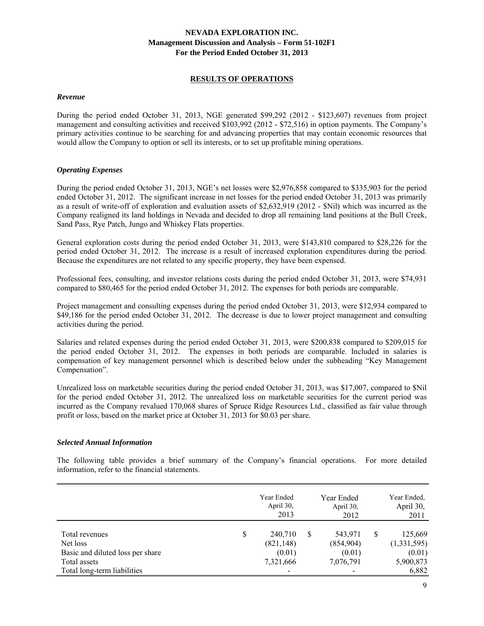#### **RESULTS OF OPERATIONS**

#### *Revenue*

During the period ended October 31, 2013, NGE generated \$99,292 (2012 - \$123,607) revenues from project management and consulting activities and received \$103,992 (2012 - \$72,516) in option payments. The Company's primary activities continue to be searching for and advancing properties that may contain economic resources that would allow the Company to option or sell its interests, or to set up profitable mining operations.

## *Operating Expenses*

During the period ended October 31, 2013, NGE's net losses were \$2,976,858 compared to \$335,903 for the period ended October 31, 2012. The significant increase in net losses for the period ended October 31, 2013 was primarily as a result of write-off of exploration and evaluation assets of \$2,632,919 (2012 - \$Nil) which was incurred as the Company realigned its land holdings in Nevada and decided to drop all remaining land positions at the Bull Creek, Sand Pass, Rye Patch, Jungo and Whiskey Flats properties.

General exploration costs during the period ended October 31, 2013, were \$143,810 compared to \$28,226 for the period ended October 31, 2012. The increase is a result of increased exploration expenditures during the period. Because the expenditures are not related to any specific property, they have been expensed.

Professional fees, consulting, and investor relations costs during the period ended October 31, 2013, were \$74,931 compared to \$80,465 for the period ended October 31, 2012. The expenses for both periods are comparable.

Project management and consulting expenses during the period ended October 31, 2013, were \$12,934 compared to \$49,186 for the period ended October 31, 2012. The decrease is due to lower project management and consulting activities during the period.

Salaries and related expenses during the period ended October 31, 2013, were \$200,838 compared to \$209,015 for the period ended October 31, 2012. The expenses in both periods are comparable. Included in salaries is compensation of key management personnel which is described below under the subheading "Key Management Compensation".

Unrealized loss on marketable securities during the period ended October 31, 2013, was \$17,007, compared to \$Nil for the period ended October 31, 2012. The unrealized loss on marketable securities for the current period was incurred as the Company revalued 170,068 shares of Spruce Ridge Resources Ltd., classified as fair value through profit or loss, based on the market price at October 31, 2013 for \$0.03 per share.

## *Selected Annual Information*

The following table provides a brief summary of the Company's financial operations. For more detailed information, refer to the financial statements.

|                                                                                                               | Year Ended<br>April 30,<br>2013                                                |   | Year Ended<br>April 30,<br>2012             |   | Year Ended,<br>April 30,<br>2011                       |
|---------------------------------------------------------------------------------------------------------------|--------------------------------------------------------------------------------|---|---------------------------------------------|---|--------------------------------------------------------|
| Total revenues<br>Net loss<br>Basic and diluted loss per share<br>Total assets<br>Total long-term liabilities | \$<br>240,710<br>(821, 148)<br>(0.01)<br>7,321,666<br>$\overline{\phantom{a}}$ | S | 543,971<br>(854,904)<br>(0.01)<br>7,076,791 | S | 125,669<br>(1,331,595)<br>(0.01)<br>5,900,873<br>6,882 |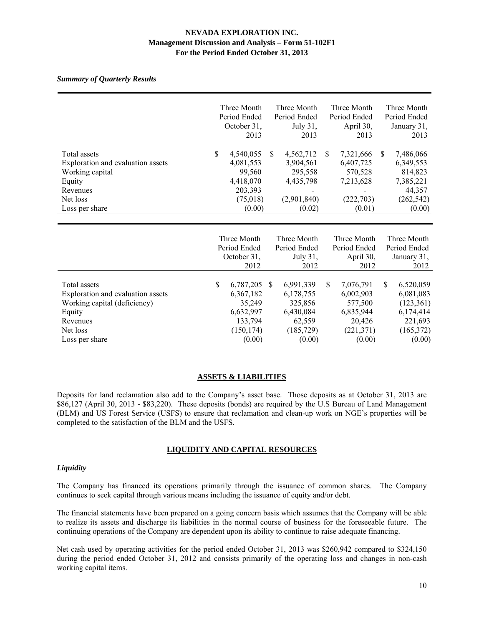#### *Summary of Quarterly Results*

|                                                                                                                                       | Three Month<br>Period Ended<br>October 31,<br>2013                                     |              | Three Month<br>Period Ended<br>July 31,<br>2013                                  |               | Three Month<br>Period Ended<br>April 30,<br>2013                                 |    | Three Month<br>Period Ended<br>January 31,<br>2013                                  |
|---------------------------------------------------------------------------------------------------------------------------------------|----------------------------------------------------------------------------------------|--------------|----------------------------------------------------------------------------------|---------------|----------------------------------------------------------------------------------|----|-------------------------------------------------------------------------------------|
| Total assets<br>Exploration and evaluation assets<br>Working capital<br>Equity<br>Revenues<br>Net loss<br>Loss per share              | \$<br>4,540,055<br>4,081,553<br>99,560<br>4,418,070<br>203,393<br>(75,018)<br>(0.00)   | \$.          | 4,562,712<br>3,904,561<br>295,558<br>4,435,798<br>(2,901,840)<br>(0.02)          | <sup>\$</sup> | 7,321,666<br>6,407,725<br>570,528<br>7,213,628<br>(222, 703)<br>(0.01)           | S. | 7,486,066<br>6,349,553<br>814,823<br>7,385,221<br>44,357<br>(262, 542)<br>(0.00)    |
|                                                                                                                                       | Three Month<br>Period Ended<br>October 31,<br>2012                                     |              | Three Month<br>Period Ended<br>July 31,<br>2012                                  |               | Three Month<br>Period Ended<br>April 30,<br>2012                                 |    | Three Month<br>Period Ended<br>January 31,<br>2012                                  |
| Total assets<br>Exploration and evaluation assets<br>Working capital (deficiency)<br>Equity<br>Revenues<br>Net loss<br>Loss per share | \$<br>6,787,205<br>6,367,182<br>35,249<br>6,632,997<br>133,794<br>(150, 174)<br>(0.00) | <sup>S</sup> | 6,991,339<br>6,178,755<br>325,856<br>6,430,084<br>62,559<br>(185, 729)<br>(0.00) | \$.           | 7,076,791<br>6,002,903<br>577,500<br>6,835,944<br>20,426<br>(221, 371)<br>(0.00) | \$ | 6,520,059<br>6,081,083<br>(123, 361)<br>6,174,414<br>221,693<br>(165,372)<br>(0.00) |

#### **ASSETS & LIABILITIES**

Deposits for land reclamation also add to the Company's asset base. Those deposits as at October 31, 2013 are \$86,127 (April 30, 2013 - \$83,220). These deposits (bonds) are required by the U.S Bureau of Land Management (BLM) and US Forest Service (USFS) to ensure that reclamation and clean-up work on NGE's properties will be completed to the satisfaction of the BLM and the USFS.

## **LIQUIDITY AND CAPITAL RESOURCES**

## *Liquidity*

The Company has financed its operations primarily through the issuance of common shares. The Company continues to seek capital through various means including the issuance of equity and/or debt.

The financial statements have been prepared on a going concern basis which assumes that the Company will be able to realize its assets and discharge its liabilities in the normal course of business for the foreseeable future. The continuing operations of the Company are dependent upon its ability to continue to raise adequate financing.

Net cash used by operating activities for the period ended October 31, 2013 was \$260,942 compared to \$324,150 during the period ended October 31, 2012 and consists primarily of the operating loss and changes in non-cash working capital items.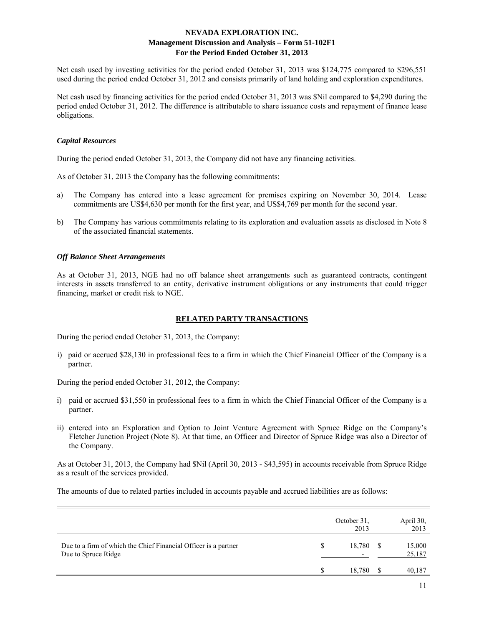Net cash used by investing activities for the period ended October 31, 2013 was \$124,775 compared to \$296,551 used during the period ended October 31, 2012 and consists primarily of land holding and exploration expenditures.

Net cash used by financing activities for the period ended October 31, 2013 was \$Nil compared to \$4,290 during the period ended October 31, 2012. The difference is attributable to share issuance costs and repayment of finance lease obligations.

#### *Capital Resources*

During the period ended October 31, 2013, the Company did not have any financing activities.

As of October 31, 2013 the Company has the following commitments:

- a) The Company has entered into a lease agreement for premises expiring on November 30, 2014. Lease commitments are US\$4,630 per month for the first year, and US\$4,769 per month for the second year.
- b) The Company has various commitments relating to its exploration and evaluation assets as disclosed in Note 8 of the associated financial statements.

## *Off Balance Sheet Arrangements*

As at October 31, 2013, NGE had no off balance sheet arrangements such as guaranteed contracts, contingent interests in assets transferred to an entity, derivative instrument obligations or any instruments that could trigger financing, market or credit risk to NGE.

## **RELATED PARTY TRANSACTIONS**

During the period ended October 31, 2013, the Company:

i) paid or accrued \$28,130 in professional fees to a firm in which the Chief Financial Officer of the Company is a partner.

During the period ended October 31, 2012, the Company:

- i) paid or accrued \$31,550 in professional fees to a firm in which the Chief Financial Officer of the Company is a partner.
- ii) entered into an Exploration and Option to Joint Venture Agreement with Spruce Ridge on the Company's Fletcher Junction Project (Note 8). At that time, an Officer and Director of Spruce Ridge was also a Director of the Company.

As at October 31, 2013, the Company had \$Nil (April 30, 2013 - \$43,595) in accounts receivable from Spruce Ridge as a result of the services provided.

The amounts of due to related parties included in accounts payable and accrued liabilities are as follows:

|                                                                                        |   | October 31.<br>2013 | April 30,<br>2013 |
|----------------------------------------------------------------------------------------|---|---------------------|-------------------|
| Due to a firm of which the Chief Financial Officer is a partner<br>Due to Spruce Ridge | S | 18,780<br>-         | 15,000<br>25,187  |
|                                                                                        |   | 18.780              | 40,187            |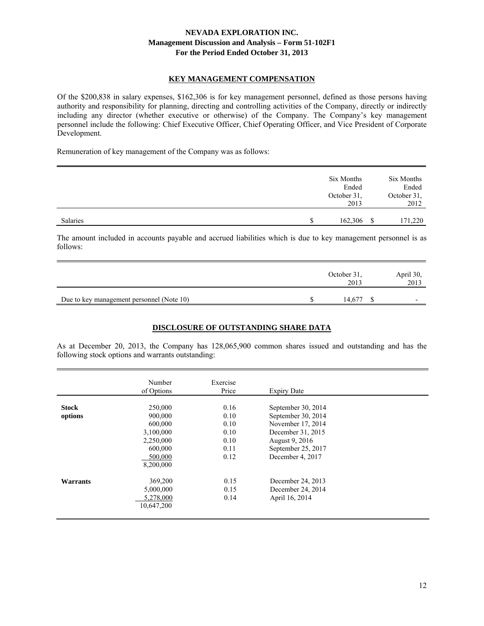#### **KEY MANAGEMENT COMPENSATION**

Of the \$200,838 in salary expenses, \$162,306 is for key management personnel, defined as those persons having authority and responsibility for planning, directing and controlling activities of the Company, directly or indirectly including any director (whether executive or otherwise) of the Company. The Company's key management personnel include the following: Chief Executive Officer, Chief Operating Officer, and Vice President of Corporate Development.

Remuneration of key management of the Company was as follows:

|          |   | Six Months<br>Ended<br>October 31,<br>2013 |     | Six Months<br>Ended<br>October 31,<br>2012 |
|----------|---|--------------------------------------------|-----|--------------------------------------------|
| Salaries | S | 162,306                                    | -\$ | 171,220                                    |

The amount included in accounts payable and accrued liabilities which is due to key management personnel is as follows:

|                                           | October 31,<br>2013 | April 30,<br>2013        |
|-------------------------------------------|---------------------|--------------------------|
| Due to key management personnel (Note 10) | 14.677              | $\overline{\phantom{0}}$ |

## **DISCLOSURE OF OUTSTANDING SHARE DATA**

As at December 20, 2013, the Company has 128,065,900 common shares issued and outstanding and has the following stock options and warrants outstanding:

|                         | Number<br>of Options                                                                       | Exercise<br>Price                                    | <b>Expiry Date</b>                                                                                                                             |  |
|-------------------------|--------------------------------------------------------------------------------------------|------------------------------------------------------|------------------------------------------------------------------------------------------------------------------------------------------------|--|
| <b>Stock</b><br>options | 250,000<br>900,000<br>600,000<br>3,100,000<br>2,250,000<br>600,000<br>500,000<br>8,200,000 | 0.16<br>0.10<br>0.10<br>0.10<br>0.10<br>0.11<br>0.12 | September 30, 2014<br>September 30, 2014<br>November 17, 2014<br>December 31, 2015<br>August 9, 2016<br>September 25, 2017<br>December 4, 2017 |  |
| <b>Warrants</b>         | 369,200<br>5,000,000<br>5,278,000<br>10,647,200                                            | 0.15<br>0.15<br>0.14                                 | December 24, 2013<br>December 24, 2014<br>April 16, 2014                                                                                       |  |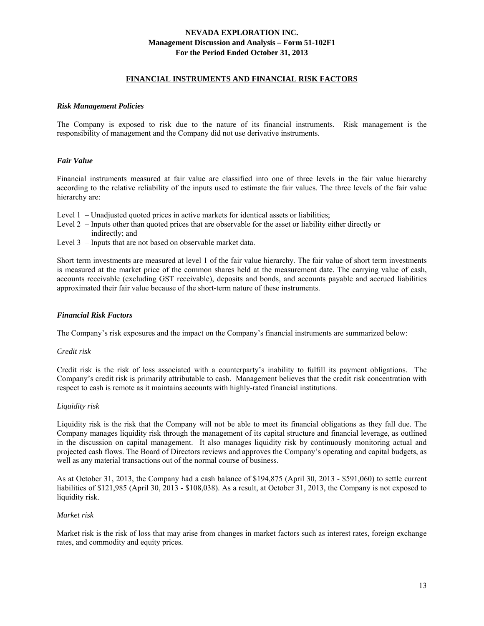#### **FINANCIAL INSTRUMENTS AND FINANCIAL RISK FACTORS**

#### *Risk Management Policies*

The Company is exposed to risk due to the nature of its financial instruments. Risk management is the responsibility of management and the Company did not use derivative instruments.

## *Fair Value*

Financial instruments measured at fair value are classified into one of three levels in the fair value hierarchy according to the relative reliability of the inputs used to estimate the fair values. The three levels of the fair value hierarchy are:

- Level 1 Unadjusted quoted prices in active markets for identical assets or liabilities;
- Level 2 Inputs other than quoted prices that are observable for the asset or liability either directly or indirectly; and
- Level 3 Inputs that are not based on observable market data.

Short term investments are measured at level 1 of the fair value hierarchy. The fair value of short term investments is measured at the market price of the common shares held at the measurement date. The carrying value of cash, accounts receivable (excluding GST receivable), deposits and bonds, and accounts payable and accrued liabilities approximated their fair value because of the short-term nature of these instruments.

#### *Financial Risk Factors*

The Company's risk exposures and the impact on the Company's financial instruments are summarized below:

#### *Credit risk*

Credit risk is the risk of loss associated with a counterparty's inability to fulfill its payment obligations. The Company's credit risk is primarily attributable to cash. Management believes that the credit risk concentration with respect to cash is remote as it maintains accounts with highly-rated financial institutions.

#### *Liquidity risk*

Liquidity risk is the risk that the Company will not be able to meet its financial obligations as they fall due. The Company manages liquidity risk through the management of its capital structure and financial leverage, as outlined in the discussion on capital management. It also manages liquidity risk by continuously monitoring actual and projected cash flows. The Board of Directors reviews and approves the Company's operating and capital budgets, as well as any material transactions out of the normal course of business.

As at October 31, 2013, the Company had a cash balance of \$194,875 (April 30, 2013 - \$591,060) to settle current liabilities of \$121,985 (April 30, 2013 - \$108,038). As a result, at October 31, 2013, the Company is not exposed to liquidity risk.

#### *Market risk*

Market risk is the risk of loss that may arise from changes in market factors such as interest rates, foreign exchange rates, and commodity and equity prices.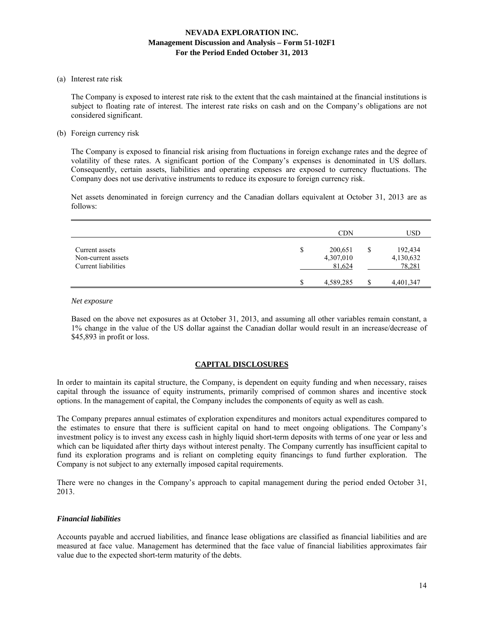(a) Interest rate risk

 The Company is exposed to interest rate risk to the extent that the cash maintained at the financial institutions is subject to floating rate of interest. The interest rate risks on cash and on the Company's obligations are not considered significant.

(b) Foreign currency risk

 The Company is exposed to financial risk arising from fluctuations in foreign exchange rates and the degree of volatility of these rates. A significant portion of the Company's expenses is denominated in US dollars. Consequently, certain assets, liabilities and operating expenses are exposed to currency fluctuations. The Company does not use derivative instruments to reduce its exposure to foreign currency risk.

 Net assets denominated in foreign currency and the Canadian dollars equivalent at October 31, 2013 are as follows:

|                                                             |    | <b>CDN</b>                     | USD                                  |
|-------------------------------------------------------------|----|--------------------------------|--------------------------------------|
| Current assets<br>Non-current assets<br>Current liabilities | \$ | 200,651<br>4,307,010<br>81,624 | \$<br>192,434<br>4,130,632<br>78,281 |
|                                                             | S  | 4,589,285                      | 4,401,347                            |

#### *Net exposure*

Based on the above net exposures as at October 31, 2013, and assuming all other variables remain constant, a 1% change in the value of the US dollar against the Canadian dollar would result in an increase/decrease of \$45,893 in profit or loss.

#### **CAPITAL DISCLOSURES**

In order to maintain its capital structure, the Company, is dependent on equity funding and when necessary, raises capital through the issuance of equity instruments, primarily comprised of common shares and incentive stock options. In the management of capital, the Company includes the components of equity as well as cash.

The Company prepares annual estimates of exploration expenditures and monitors actual expenditures compared to the estimates to ensure that there is sufficient capital on hand to meet ongoing obligations. The Company's investment policy is to invest any excess cash in highly liquid short-term deposits with terms of one year or less and which can be liquidated after thirty days without interest penalty. The Company currently has insufficient capital to fund its exploration programs and is reliant on completing equity financings to fund further exploration. The Company is not subject to any externally imposed capital requirements.

There were no changes in the Company's approach to capital management during the period ended October 31, 2013.

#### *Financial liabilities*

Accounts payable and accrued liabilities, and finance lease obligations are classified as financial liabilities and are measured at face value. Management has determined that the face value of financial liabilities approximates fair value due to the expected short-term maturity of the debts.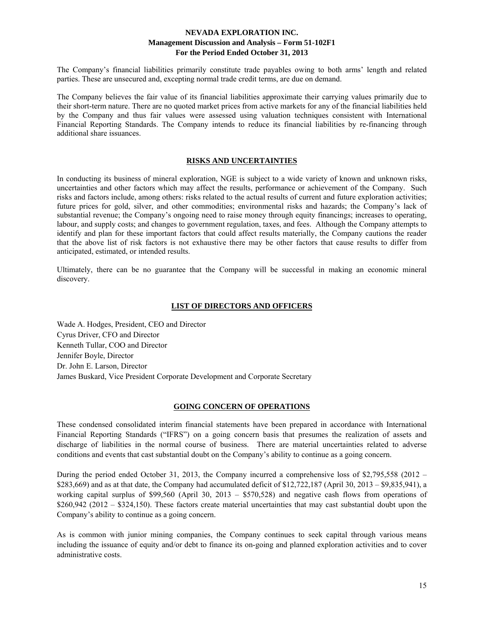The Company's financial liabilities primarily constitute trade payables owing to both arms' length and related parties. These are unsecured and, excepting normal trade credit terms, are due on demand.

The Company believes the fair value of its financial liabilities approximate their carrying values primarily due to their short-term nature. There are no quoted market prices from active markets for any of the financial liabilities held by the Company and thus fair values were assessed using valuation techniques consistent with International Financial Reporting Standards. The Company intends to reduce its financial liabilities by re-financing through additional share issuances.

#### **RISKS AND UNCERTAINTIES**

In conducting its business of mineral exploration, NGE is subject to a wide variety of known and unknown risks, uncertainties and other factors which may affect the results, performance or achievement of the Company. Such risks and factors include, among others: risks related to the actual results of current and future exploration activities; future prices for gold, silver, and other commodities; environmental risks and hazards; the Company's lack of substantial revenue; the Company's ongoing need to raise money through equity financings; increases to operating, labour, and supply costs; and changes to government regulation, taxes, and fees. Although the Company attempts to identify and plan for these important factors that could affect results materially, the Company cautions the reader that the above list of risk factors is not exhaustive there may be other factors that cause results to differ from anticipated, estimated, or intended results.

Ultimately, there can be no guarantee that the Company will be successful in making an economic mineral discovery.

#### **LIST OF DIRECTORS AND OFFICERS**

Wade A. Hodges, President, CEO and Director Cyrus Driver, CFO and Director Kenneth Tullar, COO and Director Jennifer Boyle, Director Dr. John E. Larson, Director James Buskard, Vice President Corporate Development and Corporate Secretary

#### **GOING CONCERN OF OPERATIONS**

These condensed consolidated interim financial statements have been prepared in accordance with International Financial Reporting Standards ("IFRS") on a going concern basis that presumes the realization of assets and discharge of liabilities in the normal course of business. There are material uncertainties related to adverse conditions and events that cast substantial doubt on the Company's ability to continue as a going concern.

During the period ended October 31, 2013, the Company incurred a comprehensive loss of \$2,795,558 (2012 – \$283,669) and as at that date, the Company had accumulated deficit of \$12,722,187 (April 30, 2013 – \$9,835,941), a working capital surplus of \$99,560 (April 30, 2013 – \$570,528) and negative cash flows from operations of \$260,942 (2012 – \$324,150). These factors create material uncertainties that may cast substantial doubt upon the Company's ability to continue as a going concern.

As is common with junior mining companies, the Company continues to seek capital through various means including the issuance of equity and/or debt to finance its on-going and planned exploration activities and to cover administrative costs.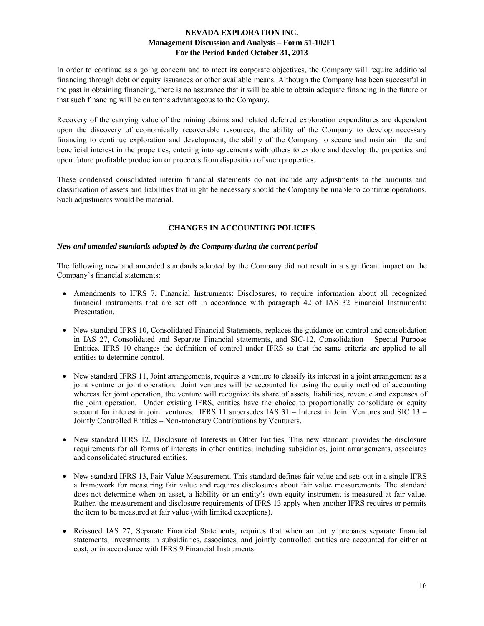In order to continue as a going concern and to meet its corporate objectives, the Company will require additional financing through debt or equity issuances or other available means. Although the Company has been successful in the past in obtaining financing, there is no assurance that it will be able to obtain adequate financing in the future or that such financing will be on terms advantageous to the Company.

Recovery of the carrying value of the mining claims and related deferred exploration expenditures are dependent upon the discovery of economically recoverable resources, the ability of the Company to develop necessary financing to continue exploration and development, the ability of the Company to secure and maintain title and beneficial interest in the properties, entering into agreements with others to explore and develop the properties and upon future profitable production or proceeds from disposition of such properties.

These condensed consolidated interim financial statements do not include any adjustments to the amounts and classification of assets and liabilities that might be necessary should the Company be unable to continue operations. Such adjustments would be material.

# **CHANGES IN ACCOUNTING POLICIES**

## *New and amended standards adopted by the Company during the current period*

The following new and amended standards adopted by the Company did not result in a significant impact on the Company's financial statements:

- Amendments to IFRS 7, Financial Instruments: Disclosures, to require information about all recognized financial instruments that are set off in accordance with paragraph 42 of IAS 32 Financial Instruments: Presentation.
- New standard IFRS 10, Consolidated Financial Statements, replaces the guidance on control and consolidation in IAS 27, Consolidated and Separate Financial statements, and SIC-12, Consolidation – Special Purpose Entities. IFRS 10 changes the definition of control under IFRS so that the same criteria are applied to all entities to determine control.
- New standard IFRS 11, Joint arrangements, requires a venture to classify its interest in a joint arrangement as a joint venture or joint operation. Joint ventures will be accounted for using the equity method of accounting whereas for joint operation, the venture will recognize its share of assets, liabilities, revenue and expenses of the joint operation. Under existing IFRS, entities have the choice to proportionally consolidate or equity account for interest in joint ventures. IFRS 11 supersedes IAS 31 – Interest in Joint Ventures and SIC 13 – Jointly Controlled Entities – Non-monetary Contributions by Venturers.
- New standard IFRS 12, Disclosure of Interests in Other Entities. This new standard provides the disclosure requirements for all forms of interests in other entities, including subsidiaries, joint arrangements, associates and consolidated structured entities.
- New standard IFRS 13, Fair Value Measurement. This standard defines fair value and sets out in a single IFRS a framework for measuring fair value and requires disclosures about fair value measurements. The standard does not determine when an asset, a liability or an entity's own equity instrument is measured at fair value. Rather, the measurement and disclosure requirements of IFRS 13 apply when another IFRS requires or permits the item to be measured at fair value (with limited exceptions).
- Reissued IAS 27, Separate Financial Statements, requires that when an entity prepares separate financial statements, investments in subsidiaries, associates, and jointly controlled entities are accounted for either at cost, or in accordance with IFRS 9 Financial Instruments.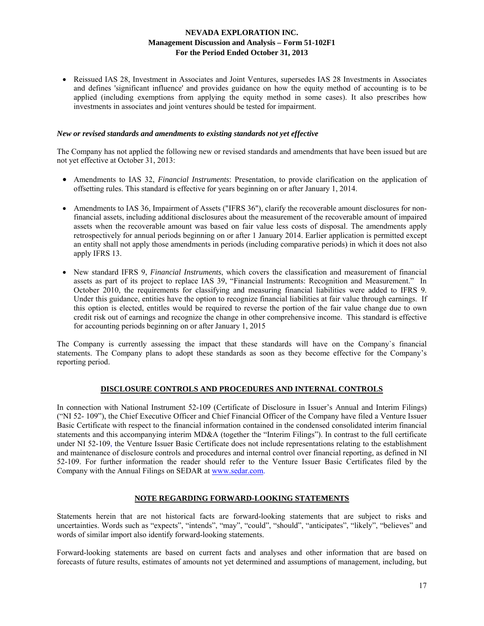• Reissued IAS 28, Investment in Associates and Joint Ventures, supersedes IAS 28 Investments in Associates and defines 'significant influence' and provides guidance on how the equity method of accounting is to be applied (including exemptions from applying the equity method in some cases). It also prescribes how investments in associates and joint ventures should be tested for impairment.

#### *New or revised standards and amendments to existing standards not yet effective*

The Company has not applied the following new or revised standards and amendments that have been issued but are not yet effective at October 31, 2013:

- Amendments to IAS 32, *Financial Instruments*: Presentation, to provide clarification on the application of offsetting rules. This standard is effective for years beginning on or after January 1, 2014.
- Amendments to IAS 36, Impairment of Assets ("IFRS 36"), clarify the recoverable amount disclosures for nonfinancial assets, including additional disclosures about the measurement of the recoverable amount of impaired assets when the recoverable amount was based on fair value less costs of disposal. The amendments apply retrospectively for annual periods beginning on or after 1 January 2014. Earlier application is permitted except an entity shall not apply those amendments in periods (including comparative periods) in which it does not also apply IFRS 13.
- New standard IFRS 9, *Financial Instruments*, which covers the classification and measurement of financial assets as part of its project to replace IAS 39, "Financial Instruments: Recognition and Measurement." In October 2010, the requirements for classifying and measuring financial liabilities were added to IFRS 9. Under this guidance, entities have the option to recognize financial liabilities at fair value through earnings. If this option is elected, entitles would be required to reverse the portion of the fair value change due to own credit risk out of earnings and recognize the change in other comprehensive income. This standard is effective for accounting periods beginning on or after January 1, 2015

The Company is currently assessing the impact that these standards will have on the Company`s financial statements. The Company plans to adopt these standards as soon as they become effective for the Company's reporting period.

## **DISCLOSURE CONTROLS AND PROCEDURES AND INTERNAL CONTROLS**

In connection with National Instrument 52-109 (Certificate of Disclosure in Issuer's Annual and Interim Filings) ("NI 52- 109"), the Chief Executive Officer and Chief Financial Officer of the Company have filed a Venture Issuer Basic Certificate with respect to the financial information contained in the condensed consolidated interim financial statements and this accompanying interim MD&A (together the "Interim Filings"). In contrast to the full certificate under NI 52-109, the Venture Issuer Basic Certificate does not include representations relating to the establishment and maintenance of disclosure controls and procedures and internal control over financial reporting, as defined in NI 52-109. For further information the reader should refer to the Venture Issuer Basic Certificates filed by the Company with the Annual Filings on SEDAR at www.sedar.com.

## **NOTE REGARDING FORWARD-LOOKING STATEMENTS**

Statements herein that are not historical facts are forward-looking statements that are subject to risks and uncertainties. Words such as "expects", "intends", "may", "could", "should", "anticipates", "likely", "believes" and words of similar import also identify forward-looking statements.

Forward-looking statements are based on current facts and analyses and other information that are based on forecasts of future results, estimates of amounts not yet determined and assumptions of management, including, but